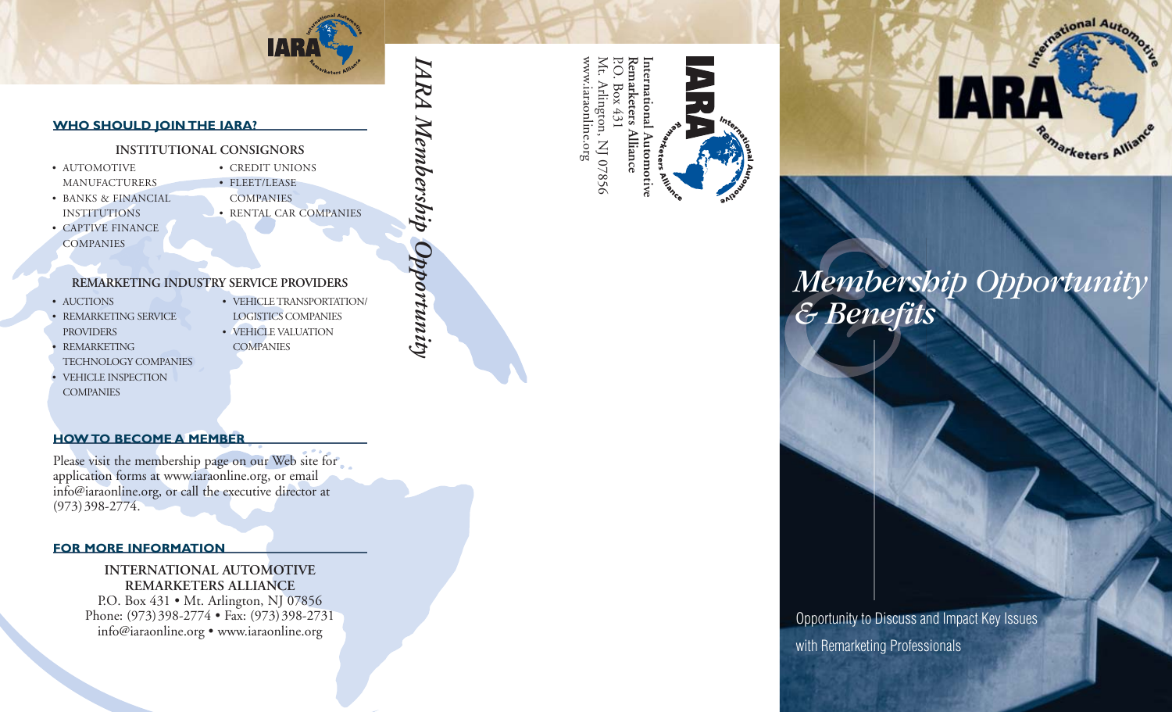

#### **WHO SHOULD JOIN THE IARA?**

#### **INSTITUTIONAL CONSIGNORS**

- AUTOMOTIVE MANUFACTURERS
- BANKS & FINANCIAL INSTITUTIONS
- CREDIT UNIONS • FLEET/LEASE **COMPANIES** • RENTAL CAR COMPANIES

• VEHICLE TRANSPORTATION/ LOGISTICS COMPANIES • VEHICLE VALUATION

*IARA Membership Opportunity*

Membership Opportunity

**ZARA** 

• CAPTIVE FINANCE **COMPANIES** 

# **REMARKETING INDUSTRY SERVICE PROVIDERS**

- AUCTIONS
- REMARKETING SERVICE PROVIDERS
- REMARKETING
- TECHNOLOGY COMPANIES • VEHICLE INSPECTION
- **COMPANIES**
- **COMPANIES**

# **HOW TO BECOME A MEMBER**

Please visit the membership page on our Web site for application forms at www.iaraonline.org, or email info@iaraonline.org, or call the executive director at (973)398-2774.

#### **FOR MORE INFORMATION**

## **INTERNATIONAL AUTOMOTIVE REMARKETERS ALLIANCE**

P.O. Box 431 • Mt. Arlington, NJ 07856 Phone: (973)398-2774 • Fax: (973)398-2731 info@iaraonline.org • www.iaraonline.org







# *Membership Opportunity & Benefits*

 $\mathbf{A}$ 

tional Auto.

*marketers* All

# Opportunity to Discuss and Impact Key Issues with Remarketing Professionals